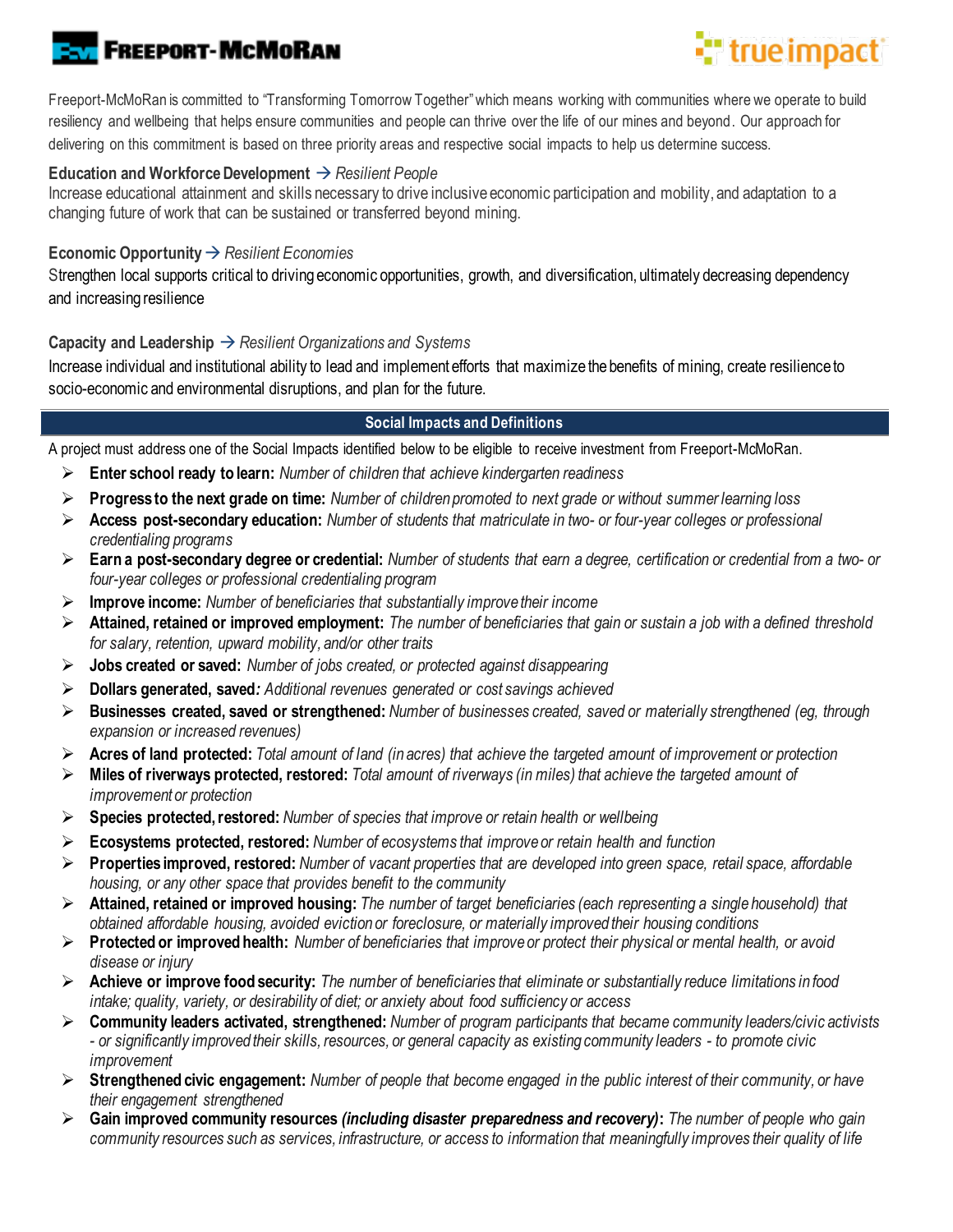# **FREEPORT-MCMORAN**

# **Et** true impact

Freeport-McMoRan is committed to "Transforming Tomorrow Together" which means working with communities where we operate to build resiliency and wellbeing that helps ensure communities and people can thrive over the life of our mines and beyond. Our approach for delivering on this commitment is based on three priority areas and respective social impacts to help us determine success.

#### **Education and Workforce Development** → *Resilient People*

Increase educational attainment and skills necessary to drive inclusive economic participation and mobility, and adaptation to a changing future of work that can be sustained or transferred beyond mining.

### **Economic Opportunity**→ *Resilient Economies*

Strengthen local supports critical to driving economic opportunities, growth, and diversification, ultimately decreasing dependency and increasing resilience

## **Capacity and Leadership** → *Resilient Organizations and Systems*

Increase individual and institutional ability to lead and implement efforts that maximize the benefits of mining, create resilience to socio-economic and environmental disruptions, and plan for the future.

## **Social Impacts and Definitions**

A project must address one of the Social Impacts identified below to be eligible to receive investment from Freeport-McMoRan.

- ➢ **Enter school ready to learn:** *Number of children that achieve kindergarten readiness*
- ➢ **Progress to the next grade on time:** *Number of children promoted to next grade or without summer learning loss*
- ➢ **Access post-secondary education:** *Number of students that matriculate in two- or four-year colleges or professional credentialing programs*
- ➢ **Earn a post-secondary degree or credential:** *Number of students that earn a degree, certification or credential from a two- or four-year colleges or professional credentialing program*
- ➢ **Improve income:** *Number of beneficiaries that substantially improve their income*
- ➢ **Attained, retained or improved employment:** *The number of beneficiaries that gain or sustain a job with a defined threshold for salary, retention, upward mobility, and/or other traits*
- ➢ **Jobs created or saved:** *Number of jobs created, or protected against disappearing*
- ➢ **Dollars generated, saved***: Additional revenues generated or cost savings achieved*
- ➢ **Businesses created, saved or strengthened:** *Number of businesses created, saved or materially strengthened (eg, through expansion or increased revenues)*
- ➢ **Acres of land protected:** *Total amount of land (in acres) that achieve the targeted amount of improvement or protection*
- ➢ **Miles of riverways protected, restored:** *Total amount of riverways (in miles) that achieve the targeted amount of improvement or protection*
- ➢ **Species protected, restored:** *Number of species that improve or retain health or wellbeing*
- ➢ **Ecosystems protected, restored:** *Number of ecosystems that improve or retain health and function*
- ➢ **Properties improved, restored:** *Number of vacant properties that are developed into green space, retail space, affordable housing, or any other space that provides benefit to the community*
- ➢ **Attained, retained or improved housing:** *The number of target beneficiaries (each representing a single household) that obtained affordable housing, avoided eviction or foreclosure, or materially improved their housing conditions*
- ➢ **Protected or improved health:** *Number of beneficiaries that improve or protect their physical or mental health, or avoid disease or injury*
- ➢ **Achieve or improve food security:** *The number of beneficiaries that eliminate or substantially reduce limitations in food intake; quality, variety, or desirability of diet; or anxiety about food sufficiency or access*
- ➢ **Community leaders activated, strengthened:** *Number of program participants that became community leaders/civic activists - or significantly improved their skills, resources, or general capacity as existing community leaders - to promote civic improvement*
- ➢ **Strengthened civic engagement:** *Number of people that become engaged in the public interest of their community, or have their engagement strengthened*
- ➢ **Gain improved community resources** *(including disaster preparedness and recovery)***:** *The number of people who gain community resources such as services, infrastructure, or access to information that meaningfully improves their quality of life*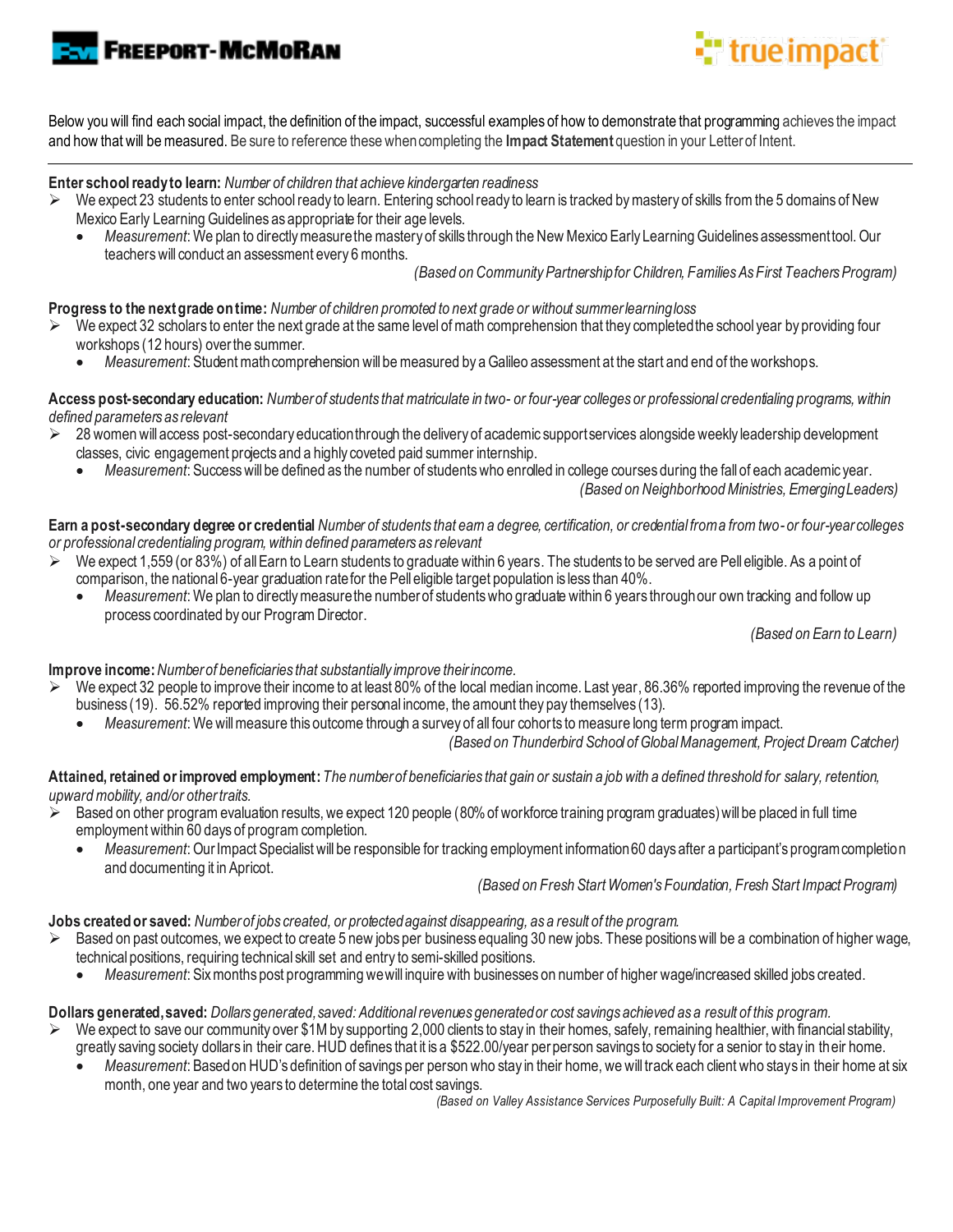**FREEPORT-MCMORAN** 

# "true impact

Below you will find each social impact, the definition of the impact, successful examples of how to demonstrate that programming achieves the impact and how that will be measured. Be sure to reference these when completing the **Impact Statement** question in your Letter of Intent.

**Enter school ready to learn:** *Number of children that achieve kindergarten readiness*

- $\triangleright$  We expect 23 students to enter school ready to learn. Entering school ready to learn is tracked by mastery of skills from the 5 domains of New Mexico Early Learning Guidelines as appropriate for their age levels.
	- Measurement: We plan to directly measure the mastery of skills through the New Mexico Early Learning Guidelines assessment tool. Our teachers will conduct an assessment every 6 months.

 *(Based on Community Partnership for Children, Families As First Teachers Program)*

**Progress to the next grade on time:** *Number of children promoted to next grade or without summer learning loss*

- We expect 32 scholars to enter the next grade at the same level of math comprehension that they completed the school year by providing four workshops (12 hours) over the summer.
	- *Measurement*: Student math comprehension will be measured by a Galileo assessment at the start and end of the workshops.

**Access post-secondary education:** *Number of students that matriculate in two- or four-year colleges or professional credentialing programs, within defined parameters as relevant* 

- $\geq$  28 women will access post-secondary education through the delivery of academic support services alongside weekly leadership development classes, civic engagement projects and a highly coveted paid summer internship.
	- *Measurement*: Success will be defined as the number of students who enrolled in college courses during the fall of each academic year.

 *(Based on Neighborhood Ministries, Emerging Leaders)*

**Earn a post-secondary degree or credential** *Number of students that earn a degree, certification, or credential from a from two-or four-year colleges or professional credentialing program, within defined parameters as relevant* 

- ➢ We expect 1,559 (or 83%) of all Earn to Learn students to graduate within 6 years. The students to be served are Pell eligible. As a point of comparison, the national 6-year graduation rate for the Pell eligible target population is less than 40%.
	- *Measurement*: We plan to directly measure the number of students who graduate within 6 years through our own tracking and follow up process coordinated by our Program Director.

 *(Based on Earn to Learn)*

**Improve income:** *Number of beneficiaries that substantially improve their income.*

- ➢ We expect 32 people to improve their income to at least 80% of the local median income. Last year, 86.36% reported improving the revenue of the business (19). 56.52% reported improving their personal income, the amount they pay themselves (13).
	- *Measurement*: We will measure this outcome through a survey of all four cohorts to measure long term program impact.

 *(Based on Thunderbird School of Global Management, Project Dream Catcher)*

**Attained, retained or improved employment:** *The number of beneficiaries that gain or sustain a job with a defined threshold for salary, retention, upward mobility, and/or other traits.*

- $\geq$  Based on other program evaluation results, we expect 120 people (80% of workforce training program graduates) will be placed in full time employment within 60 days of program completion.
	- *Measurement*:Our Impact Specialist will be responsible for tracking employment information 60 days after a participant's program completion and documenting it in Apricot.

 *(Based on Fresh Start Women's Foundation, Fresh Start Impact Program)*

**Jobs created or saved:** *Number of jobs created, or protected against disappearing, as a result of the program.*

- $\triangleright$  Based on past outcomes, we expect to create 5 new jobs per business equaling 30 new jobs. These positions will be a combination of higher wage, technical positions, requiring technical skill set and entry to semi-skilled positions.
	- *Measurement*: Six months post programming we will inquire with businesses on number of higher wage/increased skilled jobs created.

**Dollars generated, saved:** *Dollars generated, saved: Additional revenues generated or cost savings achieved as a result of this program.*

- We expect to save our community over \$1M by supporting 2,000 clients to stay in their homes, safely, remaining healthier, with financial stability, greatly saving society dollars in their care. HUD defines that it is a \$522.00/year per person savings to society for a senior to stay in their home.
	- *Measurement*: Based on HUD's definition of savings per person who stay in their home, we will track each client who stays in their home at six month, one year and two years to determine the total cost savings.

 *(Based on Valley Assistance Services Purposefully Built: A Capital Improvement Program)*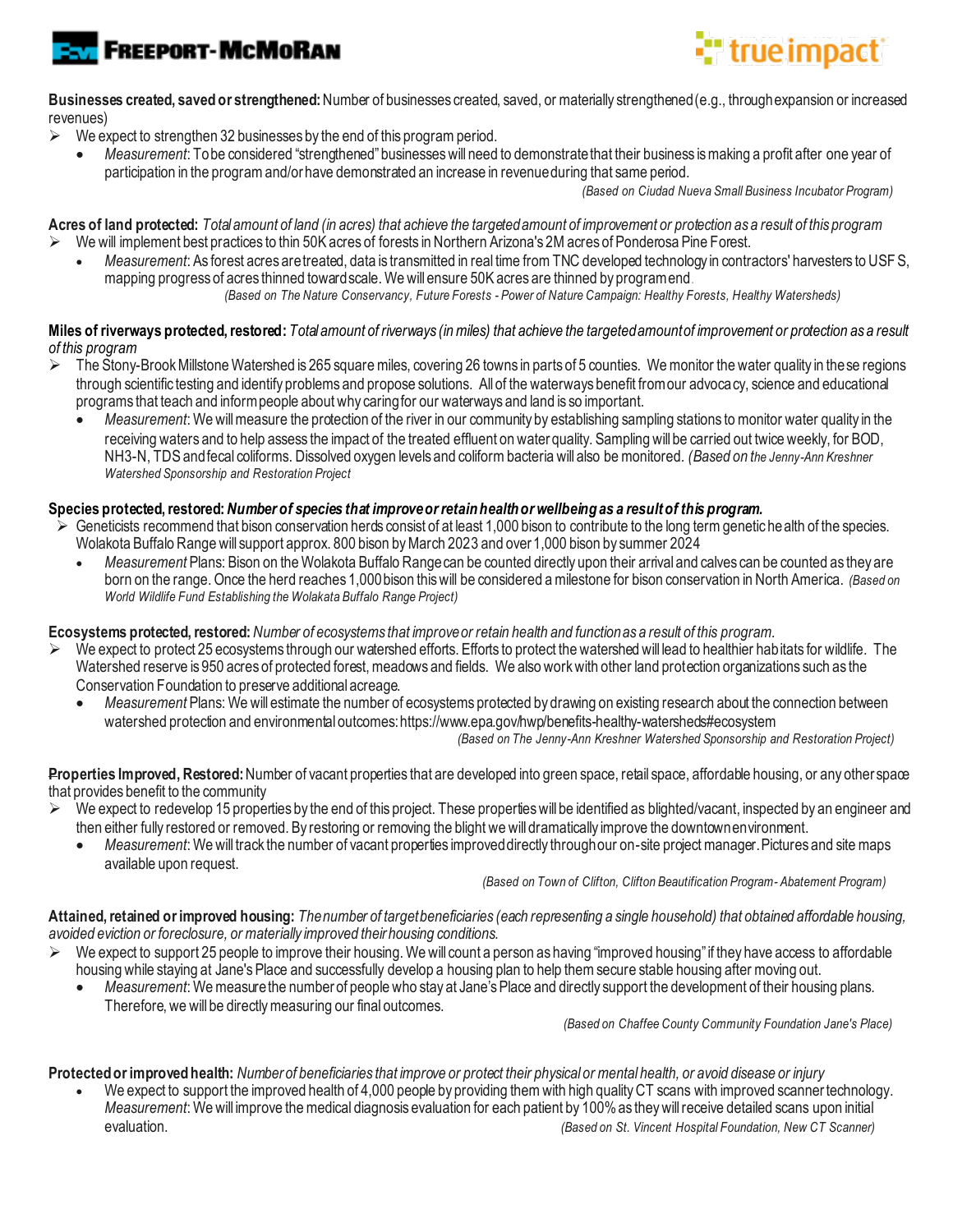



**Businesses created, saved or strengthened:** Number of businesses created, saved, or materially strengthened (e.g., through expansion or increased revenues)

- $\triangleright$  We expect to strengthen 32 businesses by the end of this program period.
	- *Measurement*: To be considered "strengthened" businesses will need to demonstrate that their business is making a profit after one year of participation in the program and/or have demonstrated an increase in revenue during that same period.

 *(Based on Ciudad Nueva Small Business Incubator Program)*

**Acres of land protected:** *Total amount of land (in acres) that achieve the targeted amount of improvement or protection as a result of this program* ➢ We will implement best practices to thin 50K acres of forests in Northern Arizona's 2Macres of Ponderosa Pine Forest.

• *Measurement*: As forest acres are treated, data is transmitted in real time from TNC developed technology in contractors' harvesters to USFS, mapping progress of acres thinned toward scale. We will ensure 50K acres are thinned by program end*.* 

*(Based on The Nature Conservancy, Future Forests - Power of Nature Campaign: Healthy Forests, Healthy Watersheds)* 

#### **Miles of riverways protected, restored:** *Total amount of riverways (in miles) that achieve the targeted amount of improvement or protection as a result of this program*

- $\triangleright$  The Stony-Brook Millstone Watershed is 265 square miles, covering 26 towns in parts of 5 counties. We monitor the water quality in the se regions through scientific testing and identify problems and propose solutions. All of the waterways benefit from our advocacy, science and educational programs that teach and inform people about why caring for our waterways and land is so important.
	- *Measurement*: We will measure the protection of the river in our community by establishing sampling stations tomonitor water quality in the receiving waters and to help assess the impact of the treated effluent on water quality. Sampling will be carried out twice weekly, for BOD, NH3-N, TDS and fecal coliforms. Dissolved oxygen levels and coliform bacteria will also be monitored. *(Based on the Jenny-Ann Kreshner Watershed Sponsorship and Restoration Project*

#### **Species protected, restored:** *Number of species that improve or retain health or wellbeing as a result of this program.*

- $\triangleright$  Geneticists recommend that bison conservation herds consist of at least 1,000 bison to contribute to the long term genetic health of the species. Wolakota Buffalo Range will support approx. 800 bison by March 2023 and over 1,000 bison by summer 2024
	- *Measurement* Plans: Bison on the Wolakota Buffalo Range can be counted directly upon their arrival and calves can be counted as they are born on the range. Once the herd reaches 1,000 bison this will be considered a milestone for bison conservation in North America. *(Based on World Wildlife Fund Establishing the Wolakata Buffalo Range Project)*

#### **Ecosystems protected, restored:** *Number of ecosystems that improve or retain health and function as a result of this program.*

- $\triangleright$  We expect to protect 25 ecosystems through our watershed efforts. Efforts to protect the watershed will lead to healthier habitats for wildlife. The Watershed reserve is 950 acres of protected forest, meadows and fields. We also work with other land protection organizations such as the Conservation Foundation to preserve additional acreage.
	- *Measurement* Plans: We will estimate the number of ecosystems protected by drawing on existing research about the connection between watershed protection and environmental outcome[s: https://www.epa.gov/hwp/benefits-healthy-watersheds#ecosystem](https://www.epa.gov/hwp/benefits-healthy-watersheds#ecosystem)

 *(Based on The Jenny-Ann Kreshner Watershed Sponsorship and Restoration Project)*

**Properties Improved, Restored:** Number of vacant properties that are developed into green space, retail space, affordable housing, or any other space that provides benefit to the community

- $\triangleright$  We expect to redevelop 15 properties by the end of this project. These properties will be identified as blighted/vacant, inspected by an engineer and then either fully restored or removed. By restoring or removing the blight we will dramatically improve the downtown environment.
	- *Measurement*: We will track the number of vacant properties improved directly through our on-site project manager. Pictures and site maps available upon request.

 *(Based on Town of Clifton, Clifton Beautification Program- Abatement Program)*

**Attained, retained or improved housing:** *The number of target beneficiaries (each representing a single household) that obtained affordable housing, avoided eviction or foreclosure, or materially improved their housing conditions.* 

- We expect to support 25 people to improve their housing. We will count a person as having "improved housing" if they have access to affordable housing while staying at Jane's Place and successfully develop a housing plan to help them secure stable housing after moving out.
	- *Measurement*: We measure the number of people who stay at Jane's Place and directly support the development of their housing plans. Therefore, we will be directly measuring our final outcomes.

 *(Based on Chaffee County Community Foundation Jane's Place)*

**Protected or improved health:** *Number of beneficiaries that improve or protect their physical or mental health, or avoid disease or injury*

• We expect to support the improved health of 4,000 people by providing them with high quality CT scans with improved scanner technology. *Measurement*: We will improve the medical diagnosis evaluation for each patient by 100%as they will receive detailed scans upon initial evaluation. *(Based on St. Vincent Hospital Foundation, New CT Scanner)*